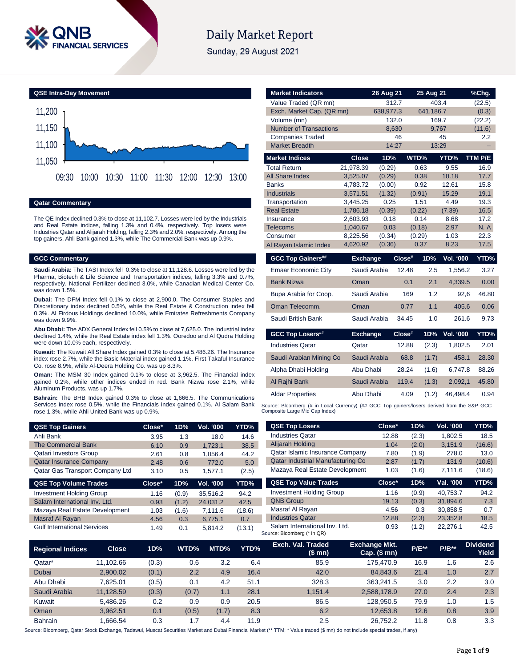

# **Daily Market Report**

Sunday, 29 August 2021



### **Qatar Commentary**

The QE Index declined 0.3% to close at 11,102.7. Losses were led by the Industrials and Real Estate indices, falling 1.3% and 0.4%, respectively. Top losers were Industries Qatar and Alijarah Holding, falling 2.3% and 2.0%, respectively. Among the top gainers, Ahli Bank gained 1.3%, while The Commercial Bank was up 0.9%.

### **GCC Commentary**

**Saudi Arabia:** The TASI Index fell 0.3% to close at 11,128.6. Losses were led by the Pharma, Biotech & Life Science and Transportation indices, falling 3.3% and 0.7%, respectively. National Fertilizer declined 3.0%, while Canadian Medical Center Co. was down 1.5%.

**Dubai:** The DFM Index fell 0.1% to close at 2,900.0. The Consumer Staples and Discretionary index declined 0.5%, while the Real Estate & Construction index fell 0.3%. Al Firdous Holdings declined 10.0%, while Emirates Refreshments Company was down 9.9%.

**Abu Dhabi:** The ADX General Index fell 0.5% to close at 7,625.0. The Industrial index declined 1.4%, while the Real Estate index fell 1.3%. Ooredoo and Al Qudra Holding were down 10.0% each, respectively.

**Kuwait:** The Kuwait All Share Index gained 0.3% to close at 5,486.26. The Insurance index rose 2.7%, while the Basic Material index gained 1.1%. First Takaful Insurance Co. rose 8.9%, while Al-Deera Holding Co. was up 8.3%.

**Oman:** The MSM 30 Index gained 0.1% to close at 3,962.5. The Financial index gained 0.2%, while other indices ended in red. Bank Nizwa rose 2.1%, while Aluminum Products. was up 1.7%.

**Bahrain:** The BHB Index gained 0.3% to close at 1,666.5. The Communications Services index rose 0.5%, while the Financials index gained 0.1%. Al Salam Bank rose 1.3%, while Ahli United Bank was up 0.9%.

| <b>QSE Top Gainers</b>          | Close* | 1D% | <b>Vol. '000</b> | YTD%  |
|---------------------------------|--------|-----|------------------|-------|
| Ahli Bank                       | 3.95   | 1.3 | 18.0             | 14.6  |
| <b>The Commercial Bank</b>      | 6.10   | 0.9 | 1.723.1          | 38.5  |
| <b>Qatari Investors Group</b>   | 2.61   | 0.8 | 1.056.4          | 44.2  |
| <b>Qatar Insurance Company</b>  | 2.48   | 0.6 | 772.0            | 5.0   |
| Qatar Gas Transport Company Ltd | 3.10   | 0.5 | 1.577.1          | (2.5) |

| <b>QSE Top Volume Trades</b>       | Close* | 1D%   | Vol. '000 | YTD%   |
|------------------------------------|--------|-------|-----------|--------|
| <b>Investment Holding Group</b>    | 1.16   | (0.9) | 35,516.2  | 94.2   |
| Salam International Inv. Ltd.      | 0.93   | (1.2) | 24.031.2  | 42.5   |
| Mazaya Real Estate Development     | 1.03   | (1.6) | 7.111.6   | (18.6) |
| Masraf Al Rayan                    | 4.56   | 0.3   | 6.775.1   | 0.7    |
| <b>Gulf International Services</b> | 1.49   | 0.1   | 5.814.2   | (13.1) |

| <b>Market Indicators</b>      |                      | 26 Aug 21    | 25 Aug 21      |                  | %Chg.         |
|-------------------------------|----------------------|--------------|----------------|------------------|---------------|
| Value Traded (QR mn)          |                      | 312.7        |                | 403.4            | (22.5)        |
| Exch. Market Cap. (QR mn)     |                      | 638,977.3    | 641,186.7      |                  | (0.3)         |
| Volume (mn)                   |                      | 132.0        |                | 169.7            | (22.2)        |
| <b>Number of Transactions</b> |                      | 8,630        |                | 9,767            | (11.6)        |
| <b>Companies Traded</b>       |                      | 46           |                | 45               | 2.2           |
| <b>Market Breadth</b>         |                      | 14:27        |                | 13:29            |               |
| <b>Market Indices</b>         | <b>Close</b>         | 1D%          | WTD%           | YTD%             | TTM P/E       |
| <b>Total Return</b>           | 21,978.39            | (0.29)       | 0.63           | 9.55             | 16.9          |
| All Share Index               | 3,525.07             | (0.29)       | 0.38           | 10.18            | 17.7          |
| <b>Banks</b>                  | 4,783.72             | (0.00)       | 0.92           | 12.61            | 15.8          |
| <b>Industrials</b>            | 3,571.51             | (1.32)       | (0.91)         | 15.29            | 19.1          |
| Transportation                | 3,445.25             | 0.25         | 1.51           | 4.49             | 19.3          |
| <b>Real Estate</b>            | 1,786.18             | (0.39)       | (0.22)         | (7.39)           | 16.5          |
| Insurance<br>Telecoms         | 2.603.93<br>1,040.67 | 0.18<br>0.03 | 0.14<br>(0.18) | 8.68<br>2.97     | 17.2<br>N. A  |
| Consumer                      | 8,225.56             | (0.34)       | (0.29)         | 1.03             | 22.3          |
| Al Rayan Islamic Index        | 4,620.92             | (0.36)       | 0.37           | 8.23             | 17.5          |
|                               |                      |              |                |                  |               |
|                               |                      |              |                |                  |               |
| <b>GCC Top Gainers##</b>      | <b>Exchange</b>      |              | Close#<br>1D%  | <b>Vol. '000</b> |               |
| <b>Emaar Economic City</b>    | Saudi Arabia         |              | 12.48<br>2.5   | 1,556.2          | 3.27          |
| <b>Bank Nizwa</b>             | Oman                 |              | 2.1<br>0.1     | 4,339.5          | 0.00          |
| Bupa Arabia for Coop.         | Saudi Arabia         |              | 169            | 1.2<br>92,6      | YTD%<br>46.80 |
| Oman Telecomm.                | Oman                 |              | 1.1<br>0.77    | 405.6            | 0.06          |
| Saudi British Bank            | Saudi Arabia         |              | 34.45          | 1.0<br>261.6     | 9.73          |
| <b>GCC Top Losers##</b>       | <b>Exchange</b>      |              | Close#<br>1D%  | <b>Vol. '000</b> |               |
| <b>Industries Qatar</b>       | Qatar                |              | 12.88<br>(2.3) | 1,802.5          | YTD%<br>2.01  |
| Saudi Arabian Mining Co       | Saudi Arabia         |              | 68.8<br>(1.7)  | 458.1            | 28.30         |
| Alpha Dhabi Holding           | Abu Dhabi            |              | 28.24<br>(1.6) | 6,747.8          | 88.26         |
| Al Rajhi Bank                 | Saudi Arabia         |              | 119.4<br>(1.3) | 2,092,1          | 45.80         |
| <b>Aldar Properties</b>       | Abu Dhabi            |              | 4.09<br>(1.2)  | 46,498.4         | 0.94          |

| <b>QSE Top Losers</b>                    | Close* | 1D%   | <b>Vol. '000</b> | YTD%   |
|------------------------------------------|--------|-------|------------------|--------|
| <b>Industries Qatar</b>                  | 12.88  | (2.3) | 1.802.5          | 18.5   |
| Alijarah Holding                         | 1.04   | (2.0) | 3.151.9          | (16.6) |
| Qatar Islamic Insurance Company          | 7.80   | (1.9) | 278.0            | 13.0   |
| <b>Qatar Industrial Manufacturing Co</b> | 2.87   | (1.7) | 131.9            | (10.6) |
| Mazaya Real Estate Development           | 1.03   | (1.6) | 7,111.6          | (18.6) |
|                                          |        |       |                  |        |
| <b>QSE Top Value Trades</b>              | Close* | 1D%   | Val. '000        | YTD%   |
| <b>Investment Holding Group</b>          | 1.16   | (0.9) | 40.753.7         | 94.2   |
| <b>QNB Group</b>                         | 19.13  | (0.3) | 31.894.6         | 7.3    |
| Masraf Al Rayan                          | 4.56   | 0.3   | 30.858.5         | 0.7    |
| <b>Industries Qatar</b>                  | 12.88  | (2.3) | 23.352.8         | 18.5   |

| <b>Regional Indices</b> | Close     | 1D%   | WTD%  | MTD%  | YTD% | Exch. Val. Traded<br>(\$mn) | <b>Exchange Mkt.</b><br>$Cap.$ (\$ mn) | <b>P/E**</b> | $P/B**$ | <b>Dividend</b><br>Yield |
|-------------------------|-----------|-------|-------|-------|------|-----------------------------|----------------------------------------|--------------|---------|--------------------------|
| Qatar*                  | 11.102.66 | (0.3) | 0.6   | 3.2   | 6.4  | 85.9                        | 175.470.9                              | 16.9         | 1.6     | 2.6                      |
| Dubai                   | 2.900.02  | (0.1) | 2.2   | 4.9   | 16.4 | 42.0                        | 84.843.6                               | 21.4         | 1.0     | 2.7                      |
| Abu Dhabi               | 7.625.01  | (0.5) | 0.1   | 4.2   | 51.1 | 328.3                       | 363.241.5                              | 3.0          | 2.2     | 3.0                      |
| Saudi Arabia            | 11.128.59 | (0.3) | (0.7) | 1.1   | 28.1 | 1.151.4                     | 2,588,178.9                            | 27.0         | 2.4     | 2.3                      |
| Kuwait                  | 5.486.26  | 0.2   | 0.9   | 0.9   | 20.5 | 86.5                        | 128.950.5                              | 79.9         | 1.0     | 1.5                      |
| Oman                    | 3.962.51  | 0.1   | (0.5) | (1.7) | 8.3  | 6.2                         | 12.653.8                               | 12.6         | 0.8     | 3.9                      |
| <b>Bahrain</b>          | .666.54   | 0.3   | 7. ا  | 4.4   | 11.9 | 2.5                         | 26.752.2                               | 11.8         | 0.8     | 3.3                      |

Source: Bloomberg, Qatar Stock Exchange, Tadawul, Muscat Securities Market and Dubai Financial Market (\*\* TTM; \* Value traded (\$ mn) do not include special trades, if any)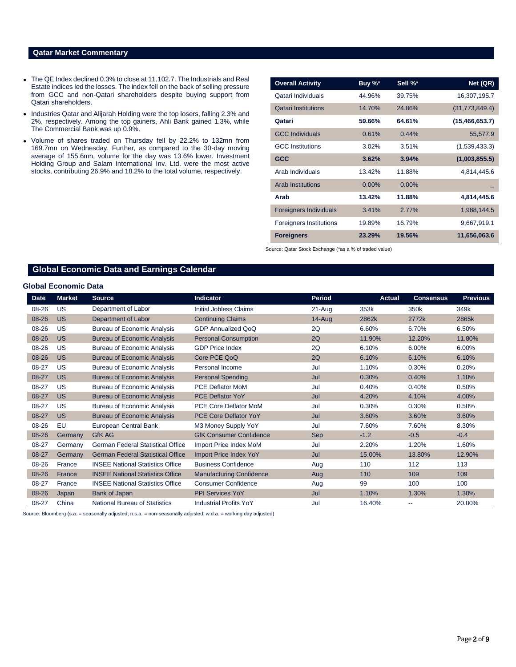### **Qatar Market Commentary**

- The QE Index declined 0.3% to close at 11,102.7. The Industrials and Real Estate indices led the losses. The index fell on the back of selling pressure from GCC and non-Qatari shareholders despite buying support from Qatari shareholders.
- Industries Qatar and Alijarah Holding were the top losers, falling 2.3% and 2%, respectively. Among the top gainers, Ahli Bank gained 1.3%, while The Commercial Bank was up 0.9%.
- Volume of shares traded on Thursday fell by 22.2% to 132mn from 169.7mn on Wednesday. Further, as compared to the 30-day moving average of 155.6mn, volume for the day was 13.6% lower. Investment Holding Group and Salam International Inv. Ltd. were the most active stocks, contributing 26.9% and 18.2% to the total volume, respectively.

| <b>Overall Activity</b>       | Buy %*   | Sell %*  | Net (QR)         |
|-------------------------------|----------|----------|------------------|
| Qatari Individuals            | 44.96%   | 39.75%   | 16,307,195.7     |
| <b>Qatari Institutions</b>    | 14.70%   | 24.86%   | (31,773,849.4)   |
| Qatari                        | 59.66%   | 64.61%   | (15, 466, 653.7) |
| <b>GCC Individuals</b>        | 0.61%    | 0.44%    | 55,577.9         |
| <b>GCC</b> Institutions       | 3.02%    | 3.51%    | (1,539,433.3)    |
| <b>GCC</b>                    | 3.62%    | 3.94%    | (1,003,855.5)    |
| Arab Individuals              | 13.42%   | 11.88%   | 4,814,445.6      |
| <b>Arab Institutions</b>      | $0.00\%$ | $0.00\%$ |                  |
| Arab                          | 13.42%   | 11.88%   | 4,814,445.6      |
| <b>Foreigners Individuals</b> | 3.41%    | 2.77%    | 1,988,144.5      |
| Foreigners Institutions       | 19.89%   | 16.79%   | 9,667,919.1      |
| <b>Foreigners</b>             | 23.29%   | 19.56%   | 11,656,063.6     |

Source: Qatar Stock Exchange (\*as a % of traded value)

## **Global Economic Data and Earnings Calendar**

## **Global Economic Data**

| <b>Date</b> | <b>Market</b> | <b>Source</b>                            | <b>Indicator</b>                | <b>Period</b> | Actual | <b>Consensus</b>         | <b>Previous</b> |
|-------------|---------------|------------------------------------------|---------------------------------|---------------|--------|--------------------------|-----------------|
| 08-26       | US            | Department of Labor                      | <b>Initial Jobless Claims</b>   | 21-Aug        | 353k   | 350k                     | 349k            |
| 08-26       | <b>US</b>     | Department of Labor                      | <b>Continuing Claims</b>        | $14 - Aug$    | 2862k  | 2772k                    | 2865k           |
| 08-26       | US            | <b>Bureau of Economic Analysis</b>       | <b>GDP Annualized QoQ</b>       | 2Q            | 6.60%  | 6.70%                    | 6.50%           |
| 08-26       | <b>US</b>     | <b>Bureau of Economic Analysis</b>       | <b>Personal Consumption</b>     | 2Q            | 11.90% | 12.20%                   | 11.80%          |
| 08-26       | US            | <b>Bureau of Economic Analysis</b>       | <b>GDP Price Index</b>          | 2Q            | 6.10%  | 6.00%                    | 6.00%           |
| 08-26       | <b>US</b>     | <b>Bureau of Economic Analysis</b>       | Core PCE QoQ                    | 2Q            | 6.10%  | 6.10%                    | 6.10%           |
| 08-27       | US            | <b>Bureau of Economic Analysis</b>       | Personal Income                 | Jul           | 1.10%  | 0.30%                    | 0.20%           |
| 08-27       | <b>US</b>     | <b>Bureau of Economic Analysis</b>       | <b>Personal Spending</b>        | Jul           | 0.30%  | 0.40%                    | 1.10%           |
| 08-27       | US            | <b>Bureau of Economic Analysis</b>       | <b>PCE Deflator MoM</b>         | Jul           | 0.40%  | 0.40%                    | 0.50%           |
| 08-27       | <b>US</b>     | <b>Bureau of Economic Analysis</b>       | <b>PCE Deflator YoY</b>         | Jul           | 4.20%  | 4.10%                    | 4.00%           |
| 08-27       | US            | <b>Bureau of Economic Analysis</b>       | <b>PCE Core Deflator MoM</b>    | Jul           | 0.30%  | 0.30%                    | 0.50%           |
| 08-27       | <b>US</b>     | <b>Bureau of Economic Analysis</b>       | <b>PCE Core Deflator YoY</b>    | Jul           | 3.60%  | 3.60%                    | 3.60%           |
| 08-26       | EU            | European Central Bank                    | M3 Money Supply YoY             | Jul           | 7.60%  | 7.60%                    | 8.30%           |
| 08-26       | Germany       | <b>GfK AG</b>                            | <b>GfK Consumer Confidence</b>  | <b>Sep</b>    | $-1.2$ | $-0.5$                   | $-0.4$          |
| 08-27       | Germany       | <b>German Federal Statistical Office</b> | Import Price Index MoM          | Jul           | 2.20%  | 1.20%                    | 1.60%           |
| 08-27       | Germany       | <b>German Federal Statistical Office</b> | <b>Import Price Index YoY</b>   | Jul           | 15.00% | 13.80%                   | 12.90%          |
| 08-26       | France        | <b>INSEE National Statistics Office</b>  | <b>Business Confidence</b>      | Aug           | 110    | 112                      | 113             |
| 08-26       | France        | <b>INSEE National Statistics Office</b>  | <b>Manufacturing Confidence</b> | Aug           | 110    | 109                      | 109             |
| 08-27       | France        | <b>INSEE National Statistics Office</b>  | <b>Consumer Confidence</b>      | Aug           | 99     | 100                      | 100             |
| 08-26       | Japan         | Bank of Japan                            | <b>PPI Services YoY</b>         | Jul           | 1.10%  | 1.30%                    | 1.30%           |
| 08-27       | China         | National Bureau of Statistics            | <b>Industrial Profits YoY</b>   | Jul           | 16.40% | $\overline{\phantom{a}}$ | 20.00%          |

Source: Bloomberg (s.a. = seasonally adjusted; n.s.a. = non-seasonally adjusted; w.d.a. = working day adjusted)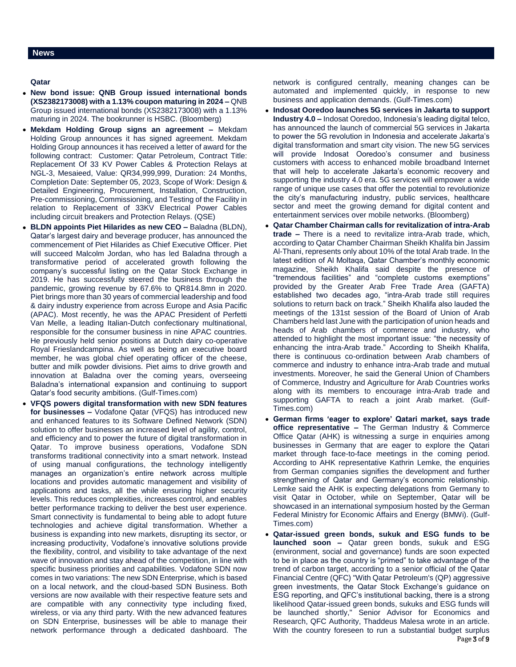**Qatar** 

- **New bond issue: QNB Group issued international bonds (XS2382173008) with a 1.13% coupon maturing in 2024 –** QNB Group issued international bonds (XS2382173008) with a 1.13% maturing in 2024. The bookrunner is HSBC. (Bloomberg)
- **Mekdam Holding Group signs an agreement –** Mekdam Holding Group announces it has signed agreement. Mekdam Holding Group announces it has received a letter of award for the following contract: Customer: Qatar Petroleum, Contract Title: Replacement Of 33 KV Power Cables & Protection Relays at NGL-3, Mesaieed, Value: QR34,999,999, Duration: 24 Months, Completion Date: September 05, 2023, Scope of Work: Design & Detailed Engineering, Procurement, Installation, Construction, Pre-commissioning, Commissioning, and Testing of the Facility in relation to Replacement of 33KV Electrical Power Cables including circuit breakers and Protection Relays. (QSE)
- **BLDN appoints Piet Hilarides as new CEO –** Baladna (BLDN), Qatar's largest dairy and beverage producer, has announced the commencement of Piet Hilarides as Chief Executive Officer. Piet will succeed Malcolm Jordan, who has led Baladna through a transformative period of accelerated growth following the company's successful listing on the Qatar Stock Exchange in 2019. He has successfully steered the business through the pandemic, growing revenue by 67.6% to QR814.8mn in 2020. Piet brings more than 30 years of commercial leadership and food & dairy industry experience from across Europe and Asia Pacific (APAC). Most recently, he was the APAC President of Perfetti Van Melle, a leading Italian-Dutch confectionary multinational, responsible for the consumer business in nine APAC countries. He previously held senior positions at Dutch dairy co-operative Royal Frieslandcampina. As well as being an executive board member, he was global chief operating officer of the cheese. butter and milk powder divisions. Piet aims to drive growth and innovation at Baladna over the coming years, overseeing Baladna's international expansion and continuing to support Qatar's food security ambitions. (Gulf-Times.com)
- **VFQS powers digital transformation with new SDN features for businesses –** Vodafone Qatar (VFQS) has introduced new and enhanced features to its Software Defined Network (SDN) solution to offer businesses an increased level of agility, control, and efficiency and to power the future of digital transformation in Qatar. To improve business operations, Vodafone SDN transforms traditional connectivity into a smart network. Instead of using manual configurations, the technology intelligently manages an organization's entire network across multiple locations and provides automatic management and visibility of applications and tasks, all the while ensuring higher security levels. This reduces complexities, increases control, and enables better performance tracking to deliver the best user experience. Smart connectivity is fundamental to being able to adopt future technologies and achieve digital transformation. Whether a business is expanding into new markets, disrupting its sector, or increasing productivity, Vodafone's innovative solutions provide the flexibility, control, and visibility to take advantage of the next wave of innovation and stay ahead of the competition, in line with specific business priorities and capabilities. Vodafone SDN now comes in two variations: The new SDN Enterprise, which is based on a local network, and the cloud-based SDN Business. Both versions are now available with their respective feature sets and are compatible with any connectivity type including fixed, wireless, or via any third party. With the new advanced features on SDN Enterprise, businesses will be able to manage their network performance through a dedicated dashboard. The

network is configured centrally, meaning changes can be automated and implemented quickly, in response to new business and application demands. (Gulf-Times.com)

- **Indosat Ooredoo launches 5G services in Jakarta to support Industry 4.0 –** Indosat Ooredoo, Indonesia's leading digital telco, has announced the launch of commercial 5G services in Jakarta to power the 5G revolution in Indonesia and accelerate Jakarta's digital transformation and smart city vision. The new 5G services will provide Indosat Ooredoo's consumer and business customers with access to enhanced mobile broadband Internet that will help to accelerate Jakarta's economic recovery and supporting the industry 4.0 era. 5G services will empower a wide range of unique use cases that offer the potential to revolutionize the city's manufacturing industry, public services, healthcare sector and meet the growing demand for digital content and entertainment services over mobile networks. (Bloomberg)
- **Qatar Chamber Chairman calls for revitalization of intra-Arab trade –** There is a need to revitalize intra-Arab trade, which, according to Qatar Chamber Chairman Sheikh Khalifa bin Jassim Al-Thani, represents only about 10% of the total Arab trade. In the latest edition of Al Moltaqa, Qatar Chamber's monthly economic magazine, Sheikh Khalifa said despite the presence of "tremendous facilities" and "complete customs exemptions" provided by the Greater Arab Free Trade Area (GAFTA) established two decades ago, "intra-Arab trade still requires solutions to return back on track." Sheikh Khalifa also lauded the meetings of the 131st session of the Board of Union of Arab Chambers held last June with the participation of union heads and heads of Arab chambers of commerce and industry, who attended to highlight the most important issue: "the necessity of enhancing the intra-Arab trade." According to Sheikh Khalifa, there is continuous co-ordination between Arab chambers of commerce and industry to enhance intra-Arab trade and mutual investments. Moreover, he said the General Union of Chambers of Commerce, Industry and Agriculture for Arab Countries works along with its members to encourage intra-Arab trade and supporting GAFTA to reach a joint Arab market. (Gulf-Times.com)
- **German firms 'eager to explore' Qatari market, says trade office representative –** The German Industry & Commerce Office Qatar (AHK) is witnessing a surge in enquiries among businesses in Germany that are eager to explore the Qatari market through face-to-face meetings in the coming period. According to AHK representative Kathrin Lemke, the enquiries from German companies signifies the development and further strengthening of Qatar and Germany's economic relationship. Lemke said the AHK is expecting delegations from Germany to visit Qatar in October, while on September, Qatar will be showcased in an international symposium hosted by the German Federal Ministry for Economic Affairs and Energy (BMWi). (Gulf-Times.com)
- Page 3 of 9 **Qatar-issued green bonds, sukuk and ESG funds to be launched soon –** Qatar green bonds, sukuk and ESG (environment, social and governance) funds are soon expected to be in place as the country is "primed" to take advantage of the trend of carbon target, according to a senior official of the Qatar Financial Centre (QFC) "With Qatar Petroleum's (QP) aggressive green investments, the Qatar Stock Exchange's guidance on ESG reporting, and QFC's institutional backing, there is a strong likelihood Qatar-issued green bonds, sukuks and ESG funds will be launched shortly," Senior Advisor for Economics and Research, QFC Authority, Thaddeus Malesa wrote in an article. With the country foreseen to run a substantial budget surplus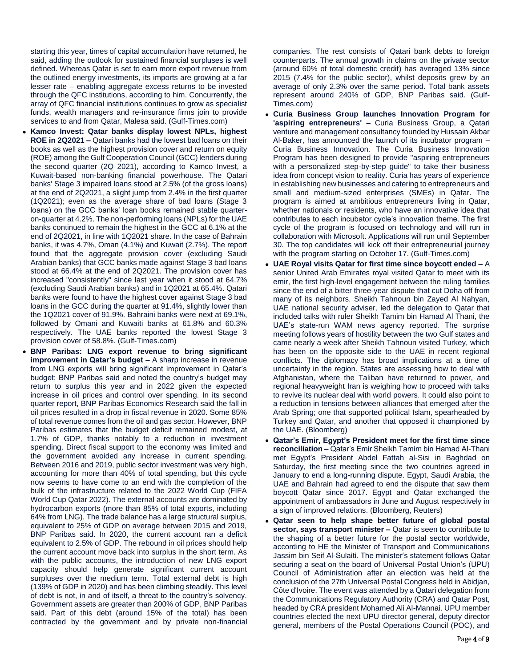starting this year, times of capital accumulation have returned, he said, adding the outlook for sustained financial surpluses is well defined. Whereas Qatar is set to earn more export revenue from the outlined energy investments, its imports are growing at a far lesser rate – enabling aggregate excess returns to be invested through the QFC institutions, according to him. Concurrently, the array of QFC financial institutions continues to grow as specialist funds, wealth managers and re-insurance firms join to provide services to and from Qatar, Malesa said. (Gulf-Times.com)

- **Kamco Invest: Qatar banks display lowest NPLs, highest ROE in 2Q2021 –** Qatari banks had the lowest bad loans on their books as well as the highest provision cover and return on equity (ROE) among the Gulf Cooperation Council (GCC) lenders during the second quarter (2Q 2021), according to Kamco Invest, a Kuwait-based non-banking financial powerhouse. The Qatari banks' Stage 3 impaired loans stood at 2.5% (of the gross loans) at the end of 2Q2021, a slight jump from 2.4% in the first quarter (1Q2021); even as the average share of bad loans (Stage 3 loans) on the GCC banks' loan books remained stable quarteron-quarter at 4.2%. The non-performing loans (NPLs) for the UAE banks continued to remain the highest in the GCC at 6.1% at the end of 2Q2021, in line with 1Q2021 share. In the case of Bahrain banks, it was 4.7%, Oman (4.1%) and Kuwait (2.7%). The report found that the aggregate provision cover (excluding Saudi Arabian banks) that GCC banks made against Stage 3 bad loans stood at 66.4% at the end of 2Q2021. The provision cover has increased "consistently" since last year when it stood at 64.7% (excluding Saudi Arabian banks) and in 1Q2021 at 65.4%. Qatari banks were found to have the highest cover against Stage 3 bad loans in the GCC during the quarter at 91.4%, slightly lower than the 1Q2021 cover of 91.9%. Bahraini banks were next at 69.1%, followed by Omani and Kuwaiti banks at 61.8% and 60.3% respectively. The UAE banks reported the lowest Stage 3 provision cover of 58.8%. (Gulf-Times.com)
- **BNP Paribas: LNG export revenue to bring significant improvement in Qatar's budget –** A sharp increase in revenue from LNG exports will bring significant improvement in Qatar's budget; BNP Paribas said and noted the country's budget may return to surplus this year and in 2022 given the expected increase in oil prices and control over spending. In its second quarter report, BNP Paribas Economics Research said the fall in oil prices resulted in a drop in fiscal revenue in 2020. Some 85% of total revenue comes from the oil and gas sector. However, BNP Paribas estimates that the budget deficit remained modest, at 1.7% of GDP, thanks notably to a reduction in investment spending. Direct fiscal support to the economy was limited and the government avoided any increase in current spending. Between 2016 and 2019, public sector investment was very high, accounting for more than 40% of total spending, but this cycle now seems to have come to an end with the completion of the bulk of the infrastructure related to the 2022 World Cup (FIFA World Cup Qatar 2022). The external accounts are dominated by hydrocarbon exports (more than 85% of total exports, including 64% from LNG). The trade balance has a large structural surplus, equivalent to 25% of GDP on average between 2015 and 2019, BNP Paribas said. In 2020, the current account ran a deficit equivalent to 2.5% of GDP. The rebound in oil prices should help the current account move back into surplus in the short term. As with the public accounts, the introduction of new LNG export capacity should help generate significant current account surpluses over the medium term. Total external debt is high (139% of GDP in 2020) and has been climbing steadily. This level of debt is not, in and of itself, a threat to the country's solvency. Government assets are greater than 200% of GDP, BNP Paribas said. Part of this debt (around 15% of the total) has been contracted by the government and by private non-financial

companies. The rest consists of Qatari bank debts to foreign counterparts. The annual growth in claims on the private sector (around 60% of total domestic credit) has averaged 13% since 2015 (7.4% for the public sector), whilst deposits grew by an average of only 2.3% over the same period. Total bank assets represent around 240% of GDP, BNP Paribas said. (Gulf-Times.com)

- **Curia Business Group launches Innovation Program for 'aspiring entrepreneurs' –** Curia Business Group, a Qatari venture and management consultancy founded by Hussain Akbar Al-Baker, has announced the launch of its incubator program – Curia Business Innovation. The Curia Business Innovation Program has been designed to provide "aspiring entrepreneurs with a personalized step-by-step guide" to take their business idea from concept vision to reality. Curia has years of experience in establishing new businesses and catering to entrepreneurs and small and medium-sized enterprises (SMEs) in Qatar. The program is aimed at ambitious entrepreneurs living in Qatar, whether nationals or residents, who have an innovative idea that contributes to each incubator cycle's innovation theme. The first cycle of the program is focused on technology and will run in collaboration with Microsoft. Applications will run until September 30. The top candidates will kick off their entrepreneurial journey with the program starting on October 17. (Gulf-Times.com)
- **UAE Royal visits Qatar for first time since boycott ended –** A senior United Arab Emirates royal visited Qatar to meet with its emir, the first high-level engagement between the ruling families since the end of a bitter three-year dispute that cut Doha off from many of its neighbors. Sheikh Tahnoun bin Zayed Al Nahyan, UAE national security adviser, led the delegation to Qatar that included talks with ruler Sheikh Tamim bin Hamad Al Thani, the UAE's state-run WAM news agency reported. The surprise meeting follows years of hostility between the two Gulf states and came nearly a week after Sheikh Tahnoun visited Turkey, which has been on the opposite side to the UAE in recent regional conflicts. The diplomacy has broad implications at a time of uncertainty in the region. States are assessing how to deal with Afghanistan, where the Taliban have returned to power, and regional heavyweight Iran is weighing how to proceed with talks to revive its nuclear deal with world powers. It could also point to a reduction in tensions between alliances that emerged after the Arab Spring; one that supported political Islam, spearheaded by Turkey and Qatar, and another that opposed it championed by the UAE. (Bloomberg)
- **Qatar's Emir, Egypt's President meet for the first time since reconciliation –** Qatar's Emir Sheikh Tamim bin Hamad Al-Thani met Egypt's President Abdel Fattah al-Sisi in Baghdad on Saturday, the first meeting since the two countries agreed in January to end a long-running dispute. Egypt, Saudi Arabia, the UAE and Bahrain had agreed to end the dispute that saw them boycott Qatar since 2017. Egypt and Qatar exchanged the appointment of ambassadors in June and August respectively in a sign of improved relations. (Bloomberg, Reuters)
- **Qatar seen to help shape better future of global postal sector, says transport minister –** Qatar is seen to contribute to the shaping of a better future for the postal sector worldwide, according to HE the Minister of Transport and Communications Jassim bin Seif Al-Sulaiti. The minister's statement follows Qatar securing a seat on the board of Universal Postal Union's (UPU) Council of Administration after an election was held at the conclusion of the 27th Universal Postal Congress held in Abidjan, Côte d'Ivoire. The event was attended by a Qatari delegation from the Communications Regulatory Authority (CRA) and Qatar Post, headed by CRA president Mohamed Ali Al-Mannai. UPU member countries elected the next UPU director general, deputy director general, members of the Postal Operations Council (POC), and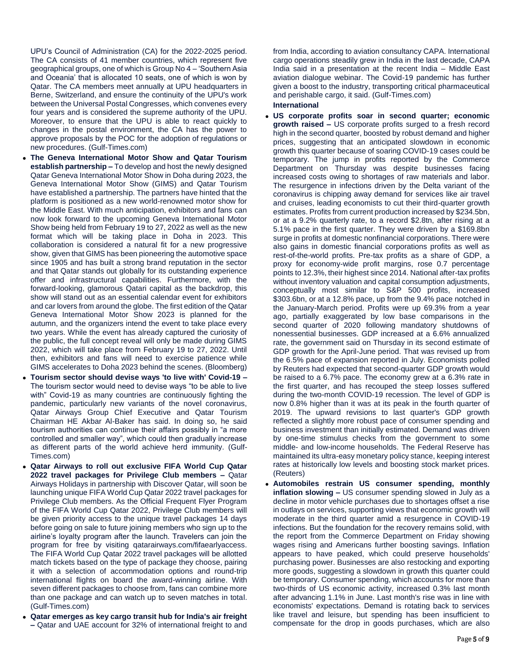UPU's Council of Administration (CA) for the 2022-2025 period. The CA consists of 41 member countries, which represent five geographical groups, one of which is Group No 4 – 'Southern Asia and Oceania' that is allocated 10 seats, one of which is won by Qatar. The CA members meet annually at UPU headquarters in Berne, Switzerland, and ensure the continuity of the UPU's work between the Universal Postal Congresses, which convenes every four years and is considered the supreme authority of the UPU. Moreover, to ensure that the UPU is able to react quickly to changes in the postal environment, the CA has the power to approve proposals by the POC for the adoption of regulations or new procedures. (Gulf-Times.com)

- **The Geneva International Motor Show and Qatar Tourism establish partnership –** To develop and host the newly designed Qatar Geneva International Motor Show in Doha during 2023, the Geneva International Motor Show (GIMS) and Qatar Tourism have established a partnership. The partners have hinted that the platform is positioned as a new world-renowned motor show for the Middle East. With much anticipation, exhibitors and fans can now look forward to the upcoming Geneva International Motor Show being held from February 19 to 27, 2022 as well as the new format which will be taking place in Doha in 2023. This collaboration is considered a natural fit for a new progressive show, given that GIMS has been pioneering the automotive space since 1905 and has built a strong brand reputation in the sector and that Qatar stands out globally for its outstanding experience offer and infrastructural capabilities. Furthermore, with the forward-looking, glamorous Qatari capital as the backdrop, this show will stand out as an essential calendar event for exhibitors and car lovers from around the globe. The first edition of the Qatar Geneva International Motor Show 2023 is planned for the autumn, and the organizers intend the event to take place every two years. While the event has already captured the curiosity of the public, the full concept reveal will only be made during GIMS 2022, which will take place from February 19 to 27, 2022. Until then, exhibitors and fans will need to exercise patience while GIMS accelerates to Doha 2023 behind the scenes. (Bloomberg)
- **Tourism sector should devise ways 'to live with' Covid-19 –** The tourism sector would need to devise ways "to be able to live with" Covid-19 as many countries are continuously fighting the pandemic, particularly new variants of the novel coronavirus, Qatar Airways Group Chief Executive and Qatar Tourism Chairman HE Akbar Al-Baker has said. In doing so, he said tourism authorities can continue their affairs possibly in "a more controlled and smaller way", which could then gradually increase as different parts of the world achieve herd immunity. (Gulf-Times.com)
- **Qatar Airways to roll out exclusive FIFA World Cup Qatar 2022 travel packages for Privilege Club members –** Qatar Airways Holidays in partnership with Discover Qatar, will soon be launching unique FIFA World Cup Qatar 2022 travel packages for Privilege Club members. As the Official Frequent Flyer Program of the FIFA World Cup Qatar 2022, Privilege Club members will be given priority access to the unique travel packages 14 days before going on sale to future joining members who sign up to the airline's loyalty program after the launch. Travelers can join the program for free by visiting qatarairways.com/fifaearlyaccess. The FIFA World Cup Qatar 2022 travel packages will be allotted match tickets based on the type of package they choose, pairing it with a selection of accommodation options and round-trip international flights on board the award-winning airline. With seven different packages to choose from, fans can combine more than one package and can watch up to seven matches in total. (Gulf-Times.com)
- **Qatar emerges as key cargo transit hub for India's air freight –** Qatar and UAE account for 32% of international freight to and

from India, according to aviation consultancy CAPA. International cargo operations steadily grew in India in the last decade, CAPA India said in a presentation at the recent India – Middle East aviation dialogue webinar. The Covid-19 pandemic has further given a boost to the industry, transporting critical pharmaceutical and perishable cargo, it said. (Gulf-Times.com)

### **International**

- **US corporate profits soar in second quarter; economic growth raised –** US corporate profits surged to a fresh record high in the second quarter, boosted by robust demand and higher prices, suggesting that an anticipated slowdown in economic growth this quarter because of soaring COVID-19 cases could be temporary. The jump in profits reported by the Commerce Department on Thursday was despite businesses facing increased costs owing to shortages of raw materials and labor. The resurgence in infections driven by the Delta variant of the coronavirus is chipping away demand for services like air travel and cruises, leading economists to cut their third-quarter growth estimates. Profits from current production increased by \$234.5bn, or at a 9.2% quarterly rate, to a record \$2.8tn, after rising at a 5.1% pace in the first quarter. They were driven by a \$169.8bn surge in profits at domestic nonfinancial corporations. There were also gains in domestic financial corporations profits as well as rest-of-the-world profits. Pre-tax profits as a share of GDP, a proxy for economy-wide profit margins, rose 0.7 percentage points to 12.3%, their highest since 2014. National after-tax profits without inventory valuation and capital consumption adjustments, conceptually most similar to S&P 500 profits, increased \$303.6bn, or at a 12.8% pace, up from the 9.4% pace notched in the January-March period. Profits were up 69.3% from a year ago, partially exaggerated by low base comparisons in the second quarter of 2020 following mandatory shutdowns of nonessential businesses. GDP increased at a 6.6% annualized rate, the government said on Thursday in its second estimate of GDP growth for the April-June period. That was revised up from the 6.5% pace of expansion reported in July. Economists polled by Reuters had expected that second-quarter GDP growth would be raised to a 6.7% pace. The economy grew at a 6.3% rate in the first quarter, and has recouped the steep losses suffered during the two-month COVID-19 recession. The level of GDP is now 0.8% higher than it was at its peak in the fourth quarter of 2019. The upward revisions to last quarter's GDP growth reflected a slightly more robust pace of consumer spending and business investment than initially estimated. Demand was driven by one-time stimulus checks from the government to some middle- and low-income households. The Federal Reserve has maintained its ultra-easy monetary policy stance, keeping interest rates at historically low levels and boosting stock market prices. (Reuters)
- **Automobiles restrain US consumer spending, monthly inflation slowing –** US consumer spending slowed in July as a decline in motor vehicle purchases due to shortages offset a rise in outlays on services, supporting views that economic growth will moderate in the third quarter amid a resurgence in COVID-19 infections. But the foundation for the recovery remains solid, with the report from the Commerce Department on Friday showing wages rising and Americans further boosting savings. Inflation appears to have peaked, which could preserve households' purchasing power. Businesses are also restocking and exporting more goods, suggesting a slowdown in growth this quarter could be temporary. Consumer spending, which accounts for more than two-thirds of US economic activity, increased 0.3% last month after advancing 1.1% in June. Last month's rise was in line with economists' expectations. Demand is rotating back to services like travel and leisure, but spending has been insufficient to compensate for the drop in goods purchases, which are also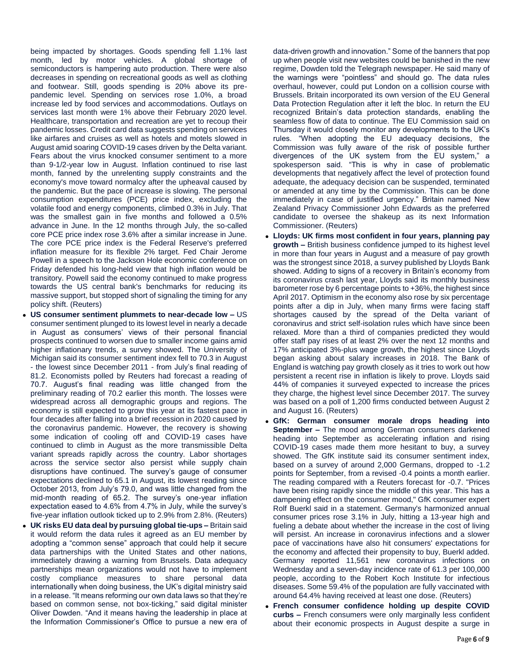being impacted by shortages. Goods spending fell 1.1% last month, led by motor vehicles. A global shortage of semiconductors is hampering auto production. There were also decreases in spending on recreational goods as well as clothing and footwear. Still, goods spending is 20% above its prepandemic level. Spending on services rose 1.0%, a broad increase led by food services and accommodations. Outlays on services last month were 1% above their February 2020 level. Healthcare, transportation and recreation are yet to recoup their pandemic losses. Credit card data suggests spending on services like airfares and cruises as well as hotels and motels slowed in August amid soaring COVID-19 cases driven by the Delta variant. Fears about the virus knocked consumer sentiment to a more than 9-1/2-year low in August. Inflation continued to rise last month, fanned by the unrelenting supply constraints and the economy's move toward normalcy after the upheaval caused by the pandemic. But the pace of increase is slowing. The personal consumption expenditures (PCE) price index, excluding the volatile food and energy components, climbed 0.3% in July. That was the smallest gain in five months and followed a 0.5% advance in June. In the 12 months through July, the so-called core PCE price index rose 3.6% after a similar increase in June. The core PCE price index is the Federal Reserve's preferred inflation measure for its flexible 2% target. Fed Chair Jerome Powell in a speech to the Jackson Hole economic conference on Friday defended his long-held view that high inflation would be transitory. Powell said the economy continued to make progress towards the US central bank's benchmarks for reducing its massive support, but stopped short of signaling the timing for any policy shift. (Reuters)

- **US consumer sentiment plummets to near-decade low –** US consumer sentiment plunged to its lowest level in nearly a decade in August as consumers' views of their personal financial prospects continued to worsen due to smaller income gains amid higher inflationary trends, a survey showed. The University of Michigan said its consumer sentiment index fell to 70.3 in August - the lowest since December 2011 - from July's final reading of 81.2. Economists polled by Reuters had forecast a reading of 70.7. August's final reading was little changed from the preliminary reading of 70.2 earlier this month. The losses were widespread across all demographic groups and regions. The economy is still expected to grow this year at its fastest pace in four decades after falling into a brief recession in 2020 caused by the coronavirus pandemic. However, the recovery is showing some indication of cooling off and COVID-19 cases have continued to climb in August as the more transmissible Delta variant spreads rapidly across the country. Labor shortages across the service sector also persist while supply chain disruptions have continued. The survey's gauge of consumer expectations declined to 65.1 in August, its lowest reading since October 2013, from July's 79.0, and was little changed from the mid-month reading of 65.2. The survey's one-year inflation expectation eased to 4.6% from 4.7% in July, while the survey's five-year inflation outlook ticked up to 2.9% from 2.8%. (Reuters)
- **UK risks EU data deal by pursuing global tie-ups –** Britain said it would reform the data rules it agreed as an EU member by adopting a "common sense" approach that could help it secure data partnerships with the United States and other nations, immediately drawing a warning from Brussels. Data adequacy partnerships mean organizations would not have to implement costly compliance measures to share personal data internationally when doing business, the UK's digital ministry said in a release. "It means reforming our own data laws so that they're based on common sense, not box-ticking," said digital minister Oliver Dowden. "And it means having the leadership in place at the Information Commissioner's Office to pursue a new era of

data-driven growth and innovation." Some of the banners that pop up when people visit new websites could be banished in the new regime, Dowden told the Telegraph newspaper. He said many of the warnings were "pointless" and should go. The data rules overhaul, however, could put London on a collision course with Brussels. Britain incorporated its own version of the EU General Data Protection Regulation after it left the bloc. In return the EU recognized Britain's data protection standards, enabling the seamless flow of data to continue. The EU Commission said on Thursday it would closely monitor any developments to the UK's rules. "When adopting the EU adequacy decisions, the Commission was fully aware of the risk of possible further divergences of the UK system from the EU system," a spokesperson said. "This is why in case of problematic developments that negatively affect the level of protection found adequate, the adequacy decision can be suspended, terminated or amended at any time by the Commission. This can be done immediately in case of justified urgency." Britain named New Zealand Privacy Commissioner John Edwards as the preferred candidate to oversee the shakeup as its next Information Commissioner. (Reuters)

- **Lloyds: UK firms most confident in four years, planning pay growth –** British business confidence jumped to its highest level in more than four years in August and a measure of pay growth was the strongest since 2018, a survey published by Lloyds Bank showed. Adding to signs of a recovery in Britain's economy from its coronavirus crash last year, Lloyds said its monthly business barometer rose by 6 percentage points to +36%, the highest since April 2017. Optimism in the economy also rose by six percentage points after a dip in July, when many firms were facing staff shortages caused by the spread of the Delta variant of coronavirus and strict self-isolation rules which have since been relaxed. More than a third of companies predicted they would offer staff pay rises of at least 2% over the next 12 months and 17% anticipated 3%-plus wage growth, the highest since Lloyds began asking about salary increases in 2018. The Bank of England is watching pay growth closely as it tries to work out how persistent a recent rise in inflation is likely to prove. Lloyds said 44% of companies it surveyed expected to increase the prices they charge, the highest level since December 2017. The survey was based on a poll of 1,200 firms conducted between August 2 and August 16. (Reuters)
- **GfK: German consumer morale drops heading into September –** The mood among German consumers darkened heading into September as accelerating inflation and rising COVID-19 cases made them more hesitant to buy, a survey showed. The GfK institute said its consumer sentiment index, based on a survey of around 2,000 Germans, dropped to -1.2 points for September, from a revised -0.4 points a month earlier. The reading compared with a Reuters forecast for -0.7. "Prices have been rising rapidly since the middle of this year. This has a dampening effect on the consumer mood," GfK consumer expert Rolf Buerkl said in a statement. Germany's harmonized annual consumer prices rose 3.1% in July, hitting a 13-year high and fueling a debate about whether the increase in the cost of living will persist. An increase in coronavirus infections and a slower pace of vaccinations have also hit consumers' expectations for the economy and affected their propensity to buy, Buerkl added. Germany reported 11,561 new coronavirus infections on Wednesday and a seven-day incidence rate of 61.3 per 100,000 people, according to the Robert Koch Institute for infectious diseases. Some 59.4% of the population are fully vaccinated with around 64.4% having received at least one dose. (Reuters)
- **French consumer confidence holding up despite COVID curbs –** French consumers were only marginally less confident about their economic prospects in August despite a surge in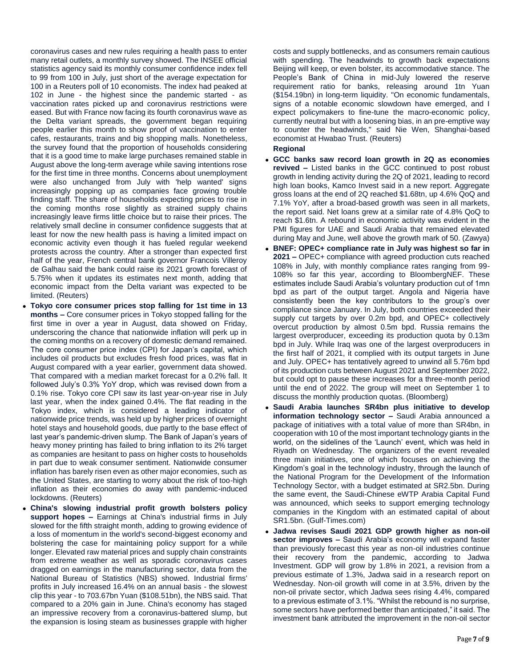coronavirus cases and new rules requiring a health pass to enter many retail outlets, a monthly survey showed. The INSEE official statistics agency said its monthly consumer confidence index fell to 99 from 100 in July, just short of the average expectation for 100 in a Reuters poll of 10 economists. The index had peaked at 102 in June - the highest since the pandemic started - as vaccination rates picked up and coronavirus restrictions were eased. But with France now facing its fourth coronavirus wave as the Delta variant spreads, the government began requiring people earlier this month to show proof of vaccination to enter cafes, restaurants, trains and big shopping malls. Nonetheless, the survey found that the proportion of households considering that it is a good time to make large purchases remained stable in August above the long-term average while saving intentions rose for the first time in three months. Concerns about unemployment were also unchanged from July with 'help wanted' signs increasingly popping up as companies face growing trouble finding staff. The share of households expecting prices to rise in the coming months rose slightly as strained supply chains increasingly leave firms little choice but to raise their prices. The relatively small decline in consumer confidence suggests that at least for now the new health pass is having a limited impact on economic activity even though it has fueled regular weekend protests across the country. After a stronger than expected first half of the year, French central bank governor Francois Villeroy de Galhau said the bank could raise its 2021 growth forecast of 5.75% when it updates its estimates next month, adding that economic impact from the Delta variant was expected to be limited. (Reuters)

- **Tokyo core consumer prices stop falling for 1st time in 13 months –** Core consumer prices in Tokyo stopped falling for the first time in over a year in August, data showed on Friday, underscoring the chance that nationwide inflation will perk up in the coming months on a recovery of domestic demand remained. The core consumer price index (CPI) for Japan's capital, which includes oil products but excludes fresh food prices, was flat in August compared with a year earlier, government data showed. That compared with a median market forecast for a 0.2% fall. It followed July's 0.3% YoY drop, which was revised down from a 0.1% rise. Tokyo core CPI saw its last year-on-year rise in July last year, when the index gained 0.4%. The flat reading in the Tokyo index, which is considered a leading indicator of nationwide price trends, was held up by higher prices of overnight hotel stays and household goods, due partly to the base effect of last year's pandemic-driven slump. The Bank of Japan's years of heavy money printing has failed to bring inflation to its 2% target as companies are hesitant to pass on higher costs to households in part due to weak consumer sentiment. Nationwide consumer inflation has barely risen even as other major economies, such as the United States, are starting to worry about the risk of too-high inflation as their economies do away with pandemic-induced lockdowns. (Reuters)
- **China's slowing industrial profit growth bolsters policy support hopes –** Earnings at China's industrial firms in July slowed for the fifth straight month, adding to growing evidence of a loss of momentum in the world's second-biggest economy and bolstering the case for maintaining policy support for a while longer. Elevated raw material prices and supply chain constraints from extreme weather as well as sporadic coronavirus cases dragged on earnings in the manufacturing sector, data from the National Bureau of Statistics (NBS) showed. Industrial firms' profits in July increased 16.4% on an annual basis - the slowest clip this year - to 703.67bn Yuan (\$108.51bn), the NBS said. That compared to a 20% gain in June. China's economy has staged an impressive recovery from a coronavirus-battered slump, but the expansion is losing steam as businesses grapple with higher

costs and supply bottlenecks, and as consumers remain cautious with spending. The headwinds to growth back expectations Beijing will keep, or even bolster, its accommodative stance. The People's Bank of China in mid-July lowered the reserve requirement ratio for banks, releasing around 1tn Yuan (\$154.19bn) in long-term liquidity. "On economic fundamentals, signs of a notable economic slowdown have emerged, and I expect policymakers to fine-tune the macro-economic policy, currently neutral but with a loosening bias, in an pre-emptive way to counter the headwinds," said Nie Wen, Shanghai-based economist at Hwabao Trust. (Reuters)

## **Regional**

- **GCC banks saw record loan growth in 2Q as economies revived –** Listed banks in the GCC continued to post robust growth in lending activity during the 2Q of 2021, leading to record high loan books, Kamco Invest said in a new report. Aggregate gross loans at the end of 2Q reached \$1.68tn, up 4.6% QoQ and 7.1% YoY, after a broad-based growth was seen in all markets, the report said. Net loans grew at a similar rate of 4.8% QoQ to reach \$1.6tn. A rebound in economic activity was evident in the PMI figures for UAE and Saudi Arabia that remained elevated during May and June, well above the growth mark of 50. (Zawya)
- **BNEF: OPEC+ compliance rate in July was highest so far in 2021 –** OPEC+ compliance with agreed production cuts reached 108% in July, with monthly compliance rates ranging from 99- 108% so far this year, according to BloombergNEF. These estimates include Saudi Arabia's voluntary production cut of 1mn bpd as part of the output target. Angola and Nigeria have consistently been the key contributors to the group's over compliance since January. In July, both countries exceeded their supply cut targets by over 0.2m bpd, and OPEC+ collectively overcut production by almost 0.5m bpd. Russia remains the largest overproducer, exceeding its production quota by 0.13m bpd in July. While Iraq was one of the largest overproducers in the first half of 2021, it complied with its output targets in June and July. OPEC+ has tentatively agreed to unwind all 5.76m bpd of its production cuts between August 2021 and September 2022, but could opt to pause these increases for a three-month period until the end of 2022. The group will meet on September 1 to discuss the monthly production quotas. (Bloomberg)
- **Saudi Arabia launches SR4bn plus initiative to develop information technology sector –** Saudi Arabia announced a package of initiatives with a total value of more than SR4bn, in cooperation with 10 of the most important technology giants in the world, on the sidelines of the 'Launch' event, which was held in Riyadh on Wednesday. The organizers of the event revealed three main initiatives, one of which focuses on achieving the Kingdom's goal in the technology industry, through the launch of the National Program for the Development of the Information Technology Sector, with a budget estimated at SR2.5bn. During the same event, the Saudi-Chinese eWTP Arabia Capital Fund was announced, which seeks to support emerging technology companies in the Kingdom with an estimated capital of about SR1.5bn. (Gulf-Times.com)
- **Jadwa revises Saudi 2021 GDP growth higher as non-oil sector improves –** Saudi Arabia's economy will expand faster than previously forecast this year as non-oil industries continue their recovery from the pandemic, according to Jadwa Investment. GDP will grow by 1.8% in 2021, a revision from a previous estimate of 1.3%, Jadwa said in a research report on Wednesday. Non-oil growth will come in at 3.5%, driven by the non-oil private sector, which Jadwa sees rising 4.4%, compared to a previous estimate of 3.1%. "Whilst the rebound is no surprise, some sectors have performed better than anticipated," it said. The investment bank attributed the improvement in the non-oil sector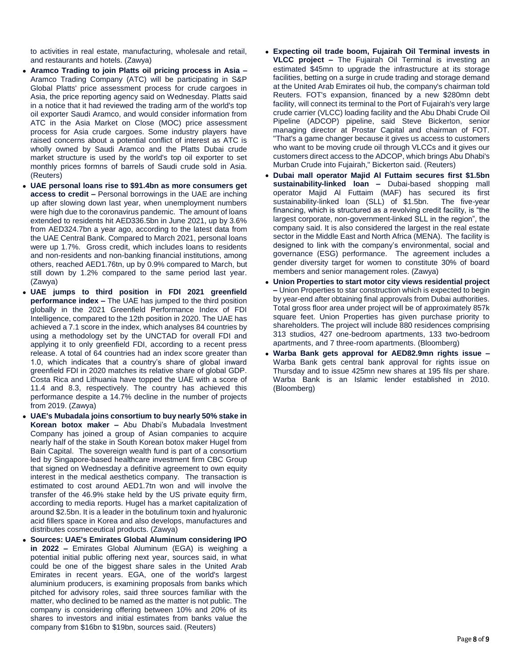to activities in real estate, manufacturing, wholesale and retail, and restaurants and hotels. (Zawya)

- **Aramco Trading to join Platts oil pricing process in Asia –** Aramco Trading Company (ATC) will be participating in S&P Global Platts' price assessment process for crude cargoes in Asia, the price reporting agency said on Wednesday. Platts said in a notice that it had reviewed the trading arm of the world's top oil exporter Saudi Aramco, and would consider information from ATC in the Asia Market on Close (MOC) price assessment process for Asia crude cargoes. Some industry players have raised concerns about a potential conflict of interest as ATC is wholly owned by Saudi Aramco and the Platts Dubai crude market structure is used by the world's top oil exporter to set monthly prices formns of barrels of Saudi crude sold in Asia. (Reuters)
- **UAE personal loans rise to \$91.4bn as more consumers get access to credit –** Personal borrowings in the UAE are inching up after slowing down last year, when unemployment numbers were high due to the coronavirus pandemic. The amount of loans extended to residents hit AED336.5bn in June 2021, up by 3.6% from AED324.7bn a year ago, according to the latest data from the UAE Central Bank. Compared to March 2021, personal loans were up 1.7%. Gross credit, which includes loans to residents and non-residents and non-banking financial institutions, among others, reached AED1.76tn, up by 0.9% compared to March, but still down by 1.2% compared to the same period last year. (Zawya)
- **UAE jumps to third position in FDI 2021 greenfield performance index –** The UAE has jumped to the third position globally in the 2021 Greenfield Performance Index of FDI Intelligence, compared to the 12th position in 2020. The UAE has achieved a 7.1 score in the index, which analyses 84 countries by using a methodology set by the UNCTAD for overall FDI and applying it to only greenfield FDI, according to a recent press release. A total of 64 countries had an index score greater than 1.0, which indicates that a country's share of global inward greenfield FDI in 2020 matches its relative share of global GDP. Costa Rica and Lithuania have topped the UAE with a score of 11.4 and 8.3, respectively. The country has achieved this performance despite a 14.7% decline in the number of projects from 2019. (Zawya)
- **UAE's Mubadala joins consortium to buy nearly 50% stake in Korean botox maker –** Abu Dhabi's Mubadala Investment Company has joined a group of Asian companies to acquire nearly half of the stake in South Korean botox maker Hugel from Bain Capital. The sovereign wealth fund is part of a consortium led by Singapore-based healthcare investment firm CBC Group that signed on Wednesday a definitive agreement to own equity interest in the medical aesthetics company. The transaction is estimated to cost around AED1.7tn won and will involve the transfer of the 46.9% stake held by the US private equity firm, according to media reports. Hugel has a market capitalization of around \$2.5bn. It is a leader in the botulinum toxin and hyaluronic acid fillers space in Korea and also develops, manufactures and distributes cosmeceutical products. (Zawya)
- **Sources: UAE's Emirates Global Aluminum considering IPO in 2022 –** Emirates Global Aluminum (EGA) is weighing a potential initial public offering next year, sources said, in what could be one of the biggest share sales in the United Arab Emirates in recent years. EGA, one of the world's largest aluminium producers, is examining proposals from banks which pitched for advisory roles, said three sources familiar with the matter, who declined to be named as the matter is not public. The company is considering offering between 10% and 20% of its shares to investors and initial estimates from banks value the company from \$16bn to \$19bn, sources said. (Reuters)
- **Expecting oil trade boom, Fujairah Oil Terminal invests in VLCC project –** The Fujairah Oil Terminal is investing an estimated \$45mn to upgrade the infrastructure at its storage facilities, betting on a surge in crude trading and storage demand at the United Arab Emirates oil hub, the company's chairman told Reuters. FOT's expansion, financed by a new \$280mn debt facility, will connect its terminal to the Port of Fujairah's very large crude carrier (VLCC) loading facility and the Abu Dhabi Crude Oil Pipeline (ADCOP) pipeline, said Steve Bickerton, senior managing director at Prostar Capital and chairman of FOT. "That's a game changer because it gives us access to customers who want to be moving crude oil through VLCCs and it gives our customers direct access to the ADCOP, which brings Abu Dhabi's Murban Crude into Fujairah," Bickerton said. (Reuters)
- **Dubai mall operator Majid Al Futtaim secures first \$1.5bn sustainability-linked loan –** Dubai-based shopping mall operator Majid Al Futtaim (MAF) has secured its first sustainability-linked loan (SLL) of \$1.5bn. The five-year financing, which is structured as a revolving credit facility, is "the largest corporate, non-government-linked SLL in the region", the company said. It is also considered the largest in the real estate sector in the Middle East and North Africa (MENA). The facility is designed to link with the company's environmental, social and governance (ESG) performance. The agreement includes a gender diversity target for women to constitute 30% of board members and senior management roles. (Zawya)
- **Union Properties to start motor city views residential project –** Union Properties to star construction which is expected to begin by year-end after obtaining final approvals from Dubai authorities. Total gross floor area under project will be of approximately 857k square feet. Union Properties has given purchase priority to shareholders. The project will include 880 residences comprising 313 studios, 427 one-bedroom apartments, 133 two-bedroom apartments, and 7 three-room apartments. (Bloomberg)
- **Warba Bank gets approval for AED82.9mn rights issue –** Warba Bank gets central bank approval for rights issue on Thursday and to issue 425mn new shares at 195 fils per share. Warba Bank is an Islamic lender established in 2010. (Bloomberg)